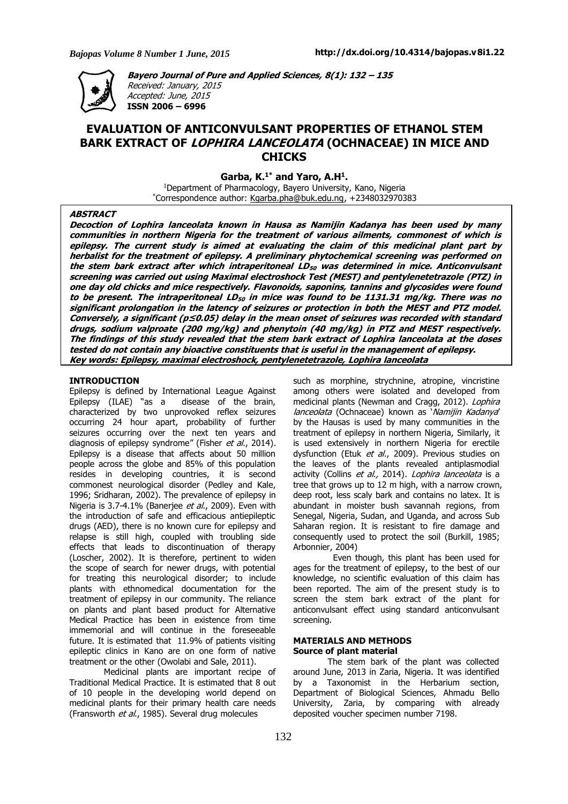

**Bayero Journal of Pure and Applied Sciences, 8(1): 132 – 135** Received: January, 2015 Accepted: June, 2015

**ISSN 2006 – 6996**

# **EVALUATION OF ANTICONVULSANT PROPERTIES OF ETHANOL STEM BARK EXTRACT OF LOPHIRA LANCEOLATA (OCHNACEAE) IN MICE AND CHICKS**

**Garba, K.1\* and Yaro, A.H<sup>1</sup> .**

<sup>1</sup>Department of Pharmacology, Bayero University, Kano, Nigeria \*Correspondence author: Kgarba.pha@buk.edu.ng, +2348032970383

#### **ABSTRACT**

Decoction of Lophira lanceolata known in Hausa as Namijin Kadanya has been used by many communities in northern Nigeria for the treatment of various ailments, commonest of which is epilepsy. The current study is aimed at evaluating the claim of this medicinal plant part by herbalist for the treatment of epilepsy. A preliminary phytochemical screening was performed on the stem bark extract after which intraperitoneal LD<sub>50</sub> was determined in mice. Anticonvulsant screening was carried out using Maximal electroshock Test (MEST) and pentylenetetrazole (PTZ) in one day old chicks and mice respectively. Flavonoids, saponins, tannins and glycosides were found to be present. The intraperitoneal LD<sub>50</sub> in mice was found to be 1131.31 mq/kq. There was no significant prolongation in the latency of seizures or protection in both the MEST and PTZ model. Conversely, a significant ( $p \le 0.05$ ) delay in the mean onset of seizures was recorded with standard drugs, sodium valproate (200 mg/kg) and phenytoin (40 mg/kg) in PTZ and MEST respectively. The findings of this study revealed that the stem bark extract of Lophira lanceolata at the doses tested do not contain any bioactive constituents that is useful in the management of epilepsy. **Key words: Epilepsy, maximal electroshock, pentylenetetrazole, Lophira lanceolata**

# **INTRODUCTION**

Epilepsy is defined by International League Against Epilepsy (ILAE) "as a disease of the brain, characterized by two unprovoked reflex seizures occurring 24 hour apart, probability of further seizures occurring over the next ten years and diagnosis of epilepsy syndrome" (Fisher et al., 2014). Epilepsy is a disease that affects about 50 million people across the globe and 85% of this population resides in developing countries, it is second commonest neurological disorder (Pedley and Kale, 1996; Sridharan, 2002). The prevalence of epilepsy in Nigeria is 3.7-4.1% (Banerjee et al., 2009). Even with the introduction of safe and efficacious antiepileptic drugs (AED), there is no known cure for epilepsy and relapse is still high, coupled with troubling side effects that leads to discontinuation of therapy (Loscher, 2002). It is therefore, pertinent to widen the scope of search for newer drugs, with potential for treating this neurological disorder; to include plants with ethnomedical documentation for the treatment of epilepsy in our community. The reliance on plants and plant based product for Alternative Medical Practice has been in existence from time immemorial and will continue in the foreseeable future. It is estimated that 11.9% of patients visiting epileptic clinics in Kano are on one form of native treatment or the other (Owolabi and Sale, 2011).

Medicinal plants are important recipe of Traditional Medical Practice. It is estimated that 8 out of 10 people in the developing world depend on medicinal plants for their primary health care needs (Fransworth et al., 1985). Several drug molecules

such as morphine, strychnine, atropine, vincristine among others were isolated and developed from medicinal plants (Newman and Cragg, 2012). Lophira lanceolata (Ochnaceae) known as 'Namijin Kadanya' by the Hausas is used by many communities in the treatment of epilepsy in northern Nigeria, Similarly, it is used extensively in northern Nigeria for erectile dysfunction (Etuk et al., 2009). Previous studies on the leaves of the plants revealed antiplasmodial activity (Collins et al., 2014). Lophira lanceolata is a tree that grows up to 12 m high, with a narrow crown, deep root, less scaly bark and contains no latex. It is abundant in moister bush savannah regions, from Senegal, Nigeria, Sudan, and Uganda, and across Sub Saharan region. It is resistant to fire damage and consequently used to protect the soil (Burkill, 1985; Arbonnier, 2004)

Even though, this plant has been used for ages for the treatment of epilepsy, to the best of our knowledge, no scientific evaluation of this claim has been reported. The aim of the present study is to screen the stem bark extract of the plant for anticonvulsant effect using standard anticonvulsant screening.

### **MATERIALS AND METHODS Source of plant material**

The stem bark of the plant was collected around June, 2013 in Zaria, Nigeria. It was identified by a Taxonomist in the Herbarium section, Department of Biological Sciences, Ahmadu Bello University, Zaria, by comparing with already deposited voucher specimen number 7198.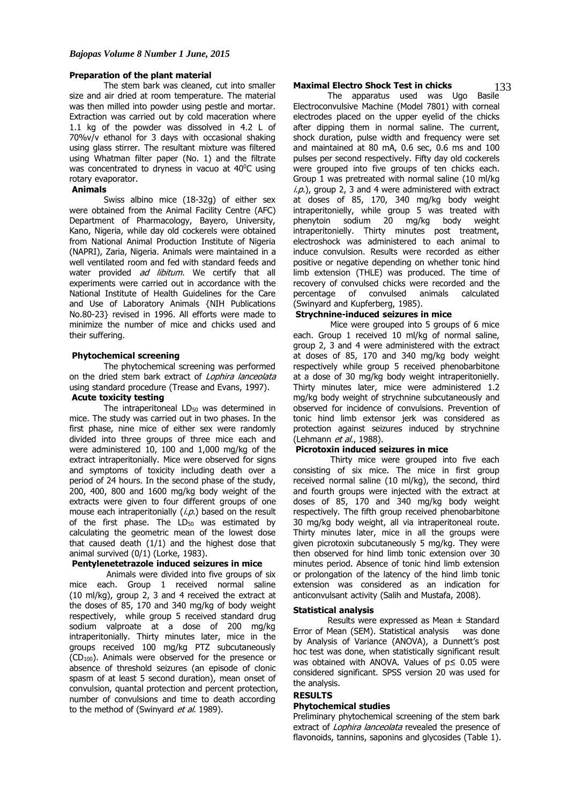#### **Preparation of the plant material**

The stem bark was cleaned, cut into smaller size and air dried at room temperature. The material was then milled into powder using pestle and mortar. Extraction was carried out by cold maceration where 1.1 kg of the powder was dissolved in 4.2 L of 70%v/v ethanol for 3 days with occasional shaking using glass stirrer. The resultant mixture was filtered using Whatman filter paper (No. 1) and the filtrate was concentrated to dryness in vacuo at 40<sup>o</sup>C using rotary evaporator.

#### **Animals**

Swiss albino mice (18-32g) of either sex were obtained from the Animal Facility Centre (AFC) Department of Pharmacology, Bayero, University, Kano, Nigeria, while day old cockerels were obtained from National Animal Production Institute of Nigeria (NAPRI), Zaria, Nigeria. Animals were maintained in a well ventilated room and fed with standard feeds and water provided ad libitum. We certify that all experiments were carried out in accordance with the National Institute of Health Guidelines for the Care and Use of Laboratory Animals {NIH Publications No.80-23} revised in 1996. All efforts were made to minimize the number of mice and chicks used and their suffering.

#### **Phytochemical screening**

The phytochemical screening was performed on the dried stem bark extract of Lophira lanceolata using standard procedure (Trease and Evans, 1997).

# **Acute toxicity testing**

The intraperitoneal LD<sub>50</sub> was determined in mice. The study was carried out in two phases. In the first phase, nine mice of either sex were randomly divided into three groups of three mice each and were administered 10, 100 and 1,000 mg/kg of the extract intraperitonially. Mice were observed for signs and symptoms of toxicity including death over a period of 24 hours. In the second phase of the study, 200, 400, 800 and 1600 mg/kg body weight of the extracts were given to four different groups of one mouse each intraperitonially  $(i, p)$  based on the result of the first phase. The  $LD_{50}$  was estimated by calculating the geometric mean of the lowest dose that caused death (1/1) and the highest dose that animal survived (0/1) (Lorke, 1983).

# **Pentylenetetrazole induced seizures in mice**

Animals were divided into five groups of six mice each. Group 1 received normal saline (10 ml/kg), group 2, 3 and 4 received the extract at the doses of 85, 170 and 340 mg/kg of body weight respectively, while group 5 received standard drug sodium valproate at a dose of 200 mg/kg intraperitonially. Thirty minutes later, mice in the groups received 100 mg/kg PTZ subcutaneously  $(CD_{100})$ . Animals were observed for the presence or absence of threshold seizures (an episode of clonic spasm of at least 5 second duration), mean onset of convulsion, quantal protection and percent protection, number of convulsions and time to death according to the method of (Swinyard et al. 1989).

#### **Maximal Electro Shock Test in chicks**

The apparatus used was Ugo Basile Electroconvulsive Machine (Model 7801) with corneal electrodes placed on the upper eyelid of the chicks after dipping them in normal saline. The current, shock duration, pulse width and frequency were set and maintained at 80 mA, 0.6 sec, 0.6 ms and 100 pulses per second respectively. Fifty day old cockerels were grouped into five groups of ten chicks each. Group 1 was pretreated with normal saline (10 ml/kg  $i.p.$ ), group 2, 3 and 4 were administered with extract at doses of 85, 170, 340 mg/kg body weight intraperitonielly, while group 5 was treated with phenytoin sodium 20 mg/kg body weight intraperitonielly. Thirty minutes post treatment, electroshock was administered to each animal to induce convulsion. Results were recorded as either positive or negative depending on whether tonic hind limb extension (THLE) was produced. The time of recovery of convulsed chicks were recorded and the percentage of convulsed animals calculated percentage of convulsed animals calculated (Swinyard and Kupferberg, 1985).

#### **Strychnine-induced seizures in mice**

Mice were grouped into 5 groups of 6 mice each. Group 1 received 10 ml/kg of normal saline, group 2, 3 and 4 were administered with the extract at doses of 85, 170 and 340 mg/kg body weight respectively while group 5 received phenobarbitone at a dose of 30 mg/kg body weight intraperitonielly. Thirty minutes later, mice were administered 1.2 mg/kg body weight of strychnine subcutaneously and observed for incidence of convulsions. Prevention of tonic hind limb extensor jerk was considered as protection against seizures induced by strychnine (Lehmann et al., 1988).

#### **Picrotoxin induced seizures in mice**

Thirty mice were grouped into five each consisting of six mice. The mice in first group received normal saline (10 ml/kg), the second, third and fourth groups were injected with the extract at doses of 85, 170 and 340 mg/kg body weight respectively. The fifth group received phenobarbitone 30 mg/kg body weight, all via intraperitoneal route. Thirty minutes later, mice in all the groups were given picrotoxin subcutaneously 5 mg/kg. They were then observed for hind limb tonic extension over 30 minutes period. Absence of tonic hind limb extension or prolongation of the latency of the hind limb tonic extension was considered as an indication for anticonvulsant activity (Salih and Mustafa, 2008).

#### **Statistical analysis**

Results were expressed as Mean ± Standard Error of Mean (SEM). Statistical analysis was done by Analysis of Variance (ANOVA), a Dunnett's post hoc test was done, when statistically significant result was obtained with ANOVA. Values of p≤ 0.05 were considered significant. SPSS version 20 was used for the analysis.

# **RESULTS**

#### **Phytochemical studies**

Preliminary phytochemical screening of the stem bark extract of *Lophira lanceolata* revealed the presence of flavonoids, tannins, saponins and glycosides (Table 1).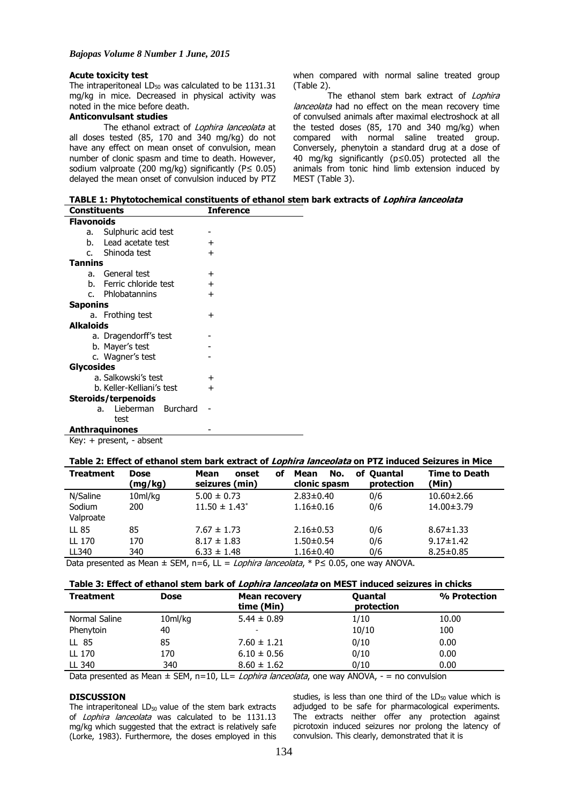#### **Acute toxicity test**

The intraperitoneal  $LD_{50}$  was calculated to be 1131.31 mg/kg in mice. Decreased in physical activity was noted in the mice before death.

# **Anticonvulsant studies**

The ethanol extract of Lophira lanceolata at all doses tested (85, 170 and 340 mg/kg) do not have any effect on mean onset of convulsion, mean number of clonic spasm and time to death. However, sodium valproate (200 mg/kg) significantly (P≤ 0.05) delayed the mean onset of convulsion induced by PTZ when compared with normal saline treated group (Table 2).

The ethanol stem bark extract of Lophira lanceolata had no effect on the mean recovery time of convulsed animals after maximal electroshock at all the tested doses (85, 170 and 340 mg/kg) when compared with normal saline treated group. Conversely, phenytoin a standard drug at a dose of 40 mg/kg significantly (p≤0.05) protected all the animals from tonic hind limb extension induced by MEST (Table 3).

**TABLE 1: Phytotochemical constituents of ethanol stem bark extracts of Lophira lanceolata Constituents Inference**

| <b>Flavonoids</b>         |                       |                 |  |  |  |  |  |
|---------------------------|-----------------------|-----------------|--|--|--|--|--|
| а. –                      | Sulphuric acid test   |                 |  |  |  |  |  |
| h.                        | Lead acetate test     | +               |  |  |  |  |  |
|                           | c. Shinoda test       | $\pm$           |  |  |  |  |  |
| Tannins                   |                       |                 |  |  |  |  |  |
|                           | a. General test       | $\pm$           |  |  |  |  |  |
| h.                        | Ferric chloride test  | $\pm$           |  |  |  |  |  |
|                           | c. Phlobatannins      | $\div$          |  |  |  |  |  |
| Saponins                  |                       |                 |  |  |  |  |  |
|                           | a. Frothing test      | $\pm$           |  |  |  |  |  |
| Alkaloids                 |                       |                 |  |  |  |  |  |
|                           | a. Dragendorff's test |                 |  |  |  |  |  |
|                           | b. Mayer's test       |                 |  |  |  |  |  |
|                           | c. Wagner's test      |                 |  |  |  |  |  |
| Glycosides                |                       |                 |  |  |  |  |  |
| a. Salkowski's test       | +                     |                 |  |  |  |  |  |
| b. Keller-Kelliani's test | $\,{}^+$              |                 |  |  |  |  |  |
| Steroids/terpenoids       |                       |                 |  |  |  |  |  |
|                           | Lieberman<br>a.       | <b>Burchard</b> |  |  |  |  |  |
|                           | test                  |                 |  |  |  |  |  |
| <b>Anthraquinones</b>     |                       |                 |  |  |  |  |  |
|                           |                       |                 |  |  |  |  |  |

Key: + present, - absent

### **Table 2: Effect of ethanol stem bark extract of Lophira lanceolata on PTZ induced Seizures in Mice**

| <b>Treatment</b> | <b>Dose</b><br>(mg/kg) | Mean<br>onset<br>οf<br>seizures (min) | No.<br>Mean<br>clonic spasm | of Quantal<br>protection | <b>Time to Death</b><br>(Min) |
|------------------|------------------------|---------------------------------------|-----------------------------|--------------------------|-------------------------------|
| N/Saline         | 10ml/kg                | $5.00 \pm 0.73$                       | $2.83 \pm 0.40$             | 0/6                      | $10.60 \pm 2.66$              |
| Sodium           | 200                    | $11.50 \pm 1.43$ <sup>*</sup>         | $1.16 \pm 0.16$             | 0/6                      | 14.00±3.79                    |
| Valproate        |                        |                                       |                             |                          |                               |
| LL 85            | 85                     | $7.67 \pm 1.73$                       | $2.16 \pm 0.53$             | 0/6                      | $8.67 \pm 1.33$               |
| LL 170           | 170                    | $8.17 \pm 1.83$                       | $1.50 \pm 0.54$             | 0/6                      | $9.17 \pm 1.42$               |
| LL340            | 340                    | $6.33 \pm 1.48$                       | $1.16 \pm 0.40$             | 0/6                      | $8.25 \pm 0.85$               |
| __               | .                      |                                       | .                           | .                        |                               |

Data presented as Mean  $\pm$  SEM, n=6, LL = *Lophira lanceolata*, \* P leq 0.05, one way ANOVA.

| <b>Treatment</b> | <b>Dose</b>         | <b>Mean recovery</b><br>time (Min) | <b>Quantal</b><br>protection | % Protection |
|------------------|---------------------|------------------------------------|------------------------------|--------------|
| Normal Saline    | 10 <sub>m</sub> /kq | $5.44 \pm 0.89$                    | 1/10                         | 10.00        |
| Phenytoin        | 40                  | ۰                                  | 10/10                        | 100          |
| LL 85            | 85                  | $7.60 \pm 1.21$                    | 0/10                         | 0.00         |
| LL 170           | 170                 | $6.10 \pm 0.56$                    | 0/10                         | 0.00         |
| LL 340           | 340                 | $8.60 \pm 1.62$                    | 0/10                         | 0.00         |

Data presented as Mean  $\pm$  SEM, n=10, LL= *Lophira lanceolata*, one way ANOVA,  $-$  = no convulsion

#### **DISCUSSION**

The intraperitoneal  $LD_{50}$  value of the stem bark extracts of *Lophira lanceolata* was calculated to be 1131.13 mg/kg which suggested that the extract is relatively safe (Lorke, 1983). Furthermore, the doses employed in this studies, is less than one third of the  $LD_{50}$  value which is adjudged to be safe for pharmacological experiments. The extracts neither offer any protection against picrotoxin induced seizures nor prolong the latency of convulsion. This clearly, demonstrated that it is